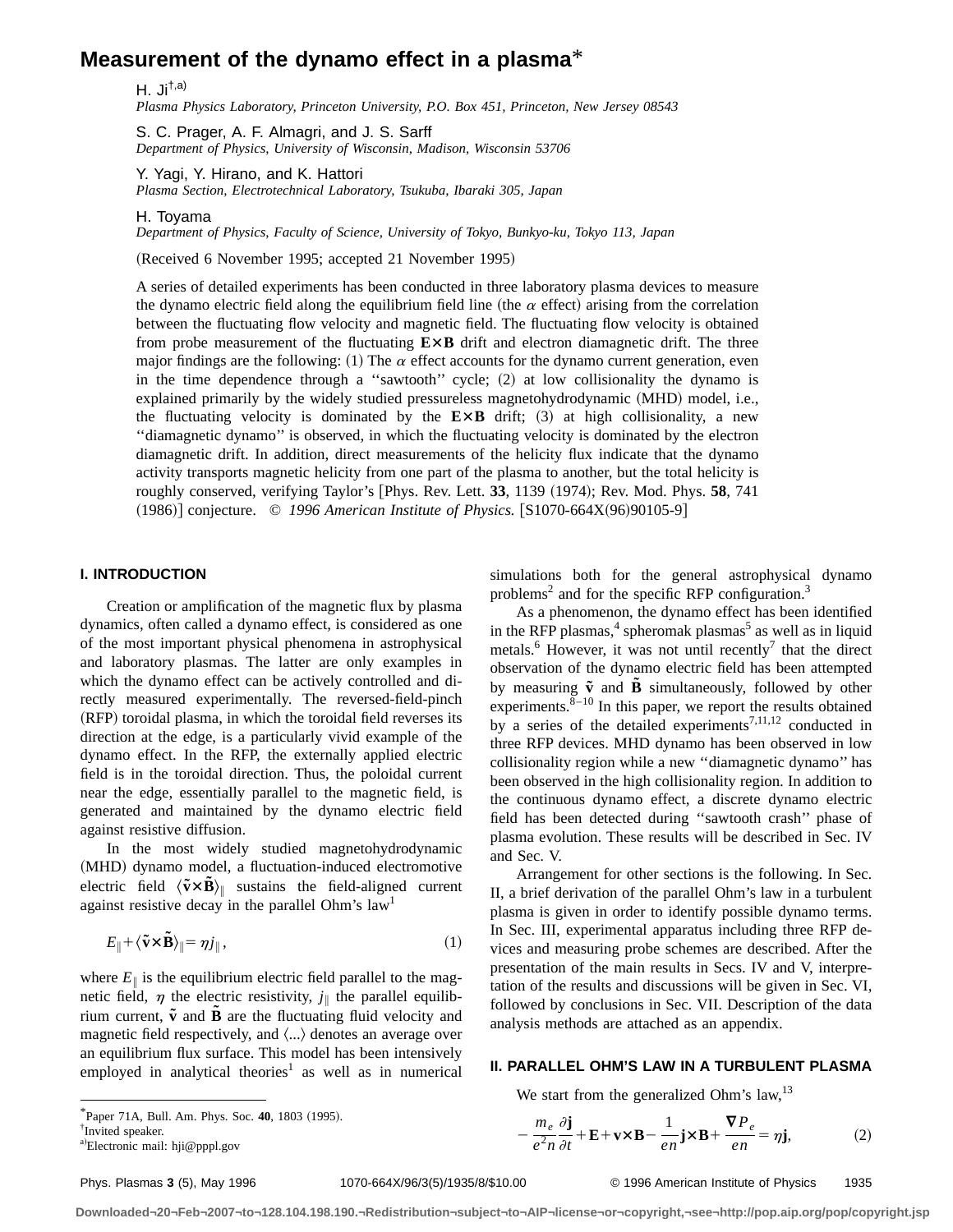# **Measurement of the dynamo effect in a plasma**\*

H. Ji<sup> $\dagger$ ,a)</sup>

*Plasma Physics Laboratory, Princeton University, P.O. Box 451, Princeton, New Jersey 08543*

S. C. Prager, A. F. Almagri, and J. S. Sarff *Department of Physics, University of Wisconsin, Madison, Wisconsin 53706*

Y. Yagi, Y. Hirano, and K. Hattori *Plasma Section, Electrotechnical Laboratory, Tsukuba, Ibaraki 305, Japan*

H. Toyama

*Department of Physics, Faculty of Science, University of Tokyo, Bunkyo-ku, Tokyo 113, Japan*

(Received 6 November 1995; accepted 21 November 1995)

A series of detailed experiments has been conducted in three laboratory plasma devices to measure the dynamo electric field along the equilibrium field line (the  $\alpha$  effect) arising from the correlation between the fluctuating flow velocity and magnetic field. The fluctuating flow velocity is obtained from probe measurement of the fluctuating  $E \times B$  drift and electron diamagnetic drift. The three major findings are the following: (1) The  $\alpha$  effect accounts for the dynamo current generation, even in the time dependence through a "sawtooth" cycle;  $(2)$  at low collisionality the dynamo is explained primarily by the widely studied pressureless magnetohydrodynamic (MHD) model, i.e., the fluctuating velocity is dominated by the  $E \times B$  drift;  $(3)$  at high collisionality, a new ''diamagnetic dynamo'' is observed, in which the fluctuating velocity is dominated by the electron diamagnetic drift. In addition, direct measurements of the helicity flux indicate that the dynamo activity transports magnetic helicity from one part of the plasma to another, but the total helicity is roughly conserved, verifying Taylor's [Phys. Rev. Lett. 33, 1139 (1974); Rev. Mod. Phys. 58, 741 (1986)] conjecture. © *1996 American Institute of Physics*. [S1070-664X(96)90105-9]

#### **I. INTRODUCTION**

Creation or amplification of the magnetic flux by plasma dynamics, often called a dynamo effect, is considered as one of the most important physical phenomena in astrophysical and laboratory plasmas. The latter are only examples in which the dynamo effect can be actively controlled and directly measured experimentally. The reversed-field-pinch (RFP) toroidal plasma, in which the toroidal field reverses its direction at the edge, is a particularly vivid example of the dynamo effect. In the RFP, the externally applied electric field is in the toroidal direction. Thus, the poloidal current near the edge, essentially parallel to the magnetic field, is generated and maintained by the dynamo electric field against resistive diffusion.

In the most widely studied magnetohydrodynamic (MHD) dynamo model, a fluctuation-induced electromotive electric field  $\langle \tilde{\mathbf{v}} \times \tilde{\mathbf{B}} \rangle_{\parallel}$  sustains the field-aligned current against resistive decay in the parallel Ohm's  $law<sup>1</sup>$ 

$$
E_{\parallel} + \langle \tilde{\mathbf{v}} \times \tilde{\mathbf{B}} \rangle_{\parallel} = \eta j_{\parallel},\tag{1}
$$

where  $E_{\parallel}$  is the equilibrium electric field parallel to the magnetic field,  $\eta$  the electric resistivity,  $j_{\parallel}$  the parallel equilibrium current,  $\tilde{v}$  and  $\tilde{B}$  are the fluctuating fluid velocity and magnetic field respectively, and  $\langle \ldots \rangle$  denotes an average over an equilibrium flux surface. This model has been intensively employed in analytical theories<sup>1</sup> as well as in numerical simulations both for the general astrophysical dynamo problems<sup>2</sup> and for the specific RFP configuration.<sup>3</sup>

As a phenomenon, the dynamo effect has been identified in the RFP plasmas, $4$  spheromak plasmas<sup>5</sup> as well as in liquid metals. $\frac{6}{5}$  However, it was not until recently<sup>7</sup> that the direct observation of the dynamo electric field has been attempted by measuring  $\tilde{\mathbf{v}}$  and  $\tilde{\mathbf{B}}$  simultaneously, followed by other experiments. $8-10$  In this paper, we report the results obtained by a series of the detailed experiments<sup>7,11,12</sup> conducted in three RFP devices. MHD dynamo has been observed in low collisionality region while a new ''diamagnetic dynamo'' has been observed in the high collisionality region. In addition to the continuous dynamo effect, a discrete dynamo electric field has been detected during ''sawtooth crash'' phase of plasma evolution. These results will be described in Sec. IV and Sec. V.

Arrangement for other sections is the following. In Sec. II, a brief derivation of the parallel Ohm's law in a turbulent plasma is given in order to identify possible dynamo terms. In Sec. III, experimental apparatus including three RFP devices and measuring probe schemes are described. After the presentation of the main results in Secs. IV and V, interpretation of the results and discussions will be given in Sec. VI, followed by conclusions in Sec. VII. Description of the data analysis methods are attached as an appendix.

#### **II. PARALLEL OHM'S LAW IN A TURBULENT PLASMA**

We start from the generalized Ohm's law,  $13$ 

† Invited speaker.

 $*$ Paper 71A, Bull. Am. Phys. Soc. 40, 1803 (1995).

Phys. Plasmas **3** (5), May 1996 1070-664X/96/3(5)/1935/8/\$10.00 © 1996 American Institute of Physics 1935

 $\nabla P_e$ 

 $\frac{e}{en} = \eta \mathbf{j},$  (2)

 $-\frac{m_e}{e^2n}$  $\partial$ **j**  $\frac{\partial \mathbf{j}}{\partial t} + \mathbf{E} + \mathbf{v} \times \mathbf{B} - \frac{1}{en} \mathbf{j} \times \mathbf{B} +$ 

a)Electronic mail: hji@pppl.gov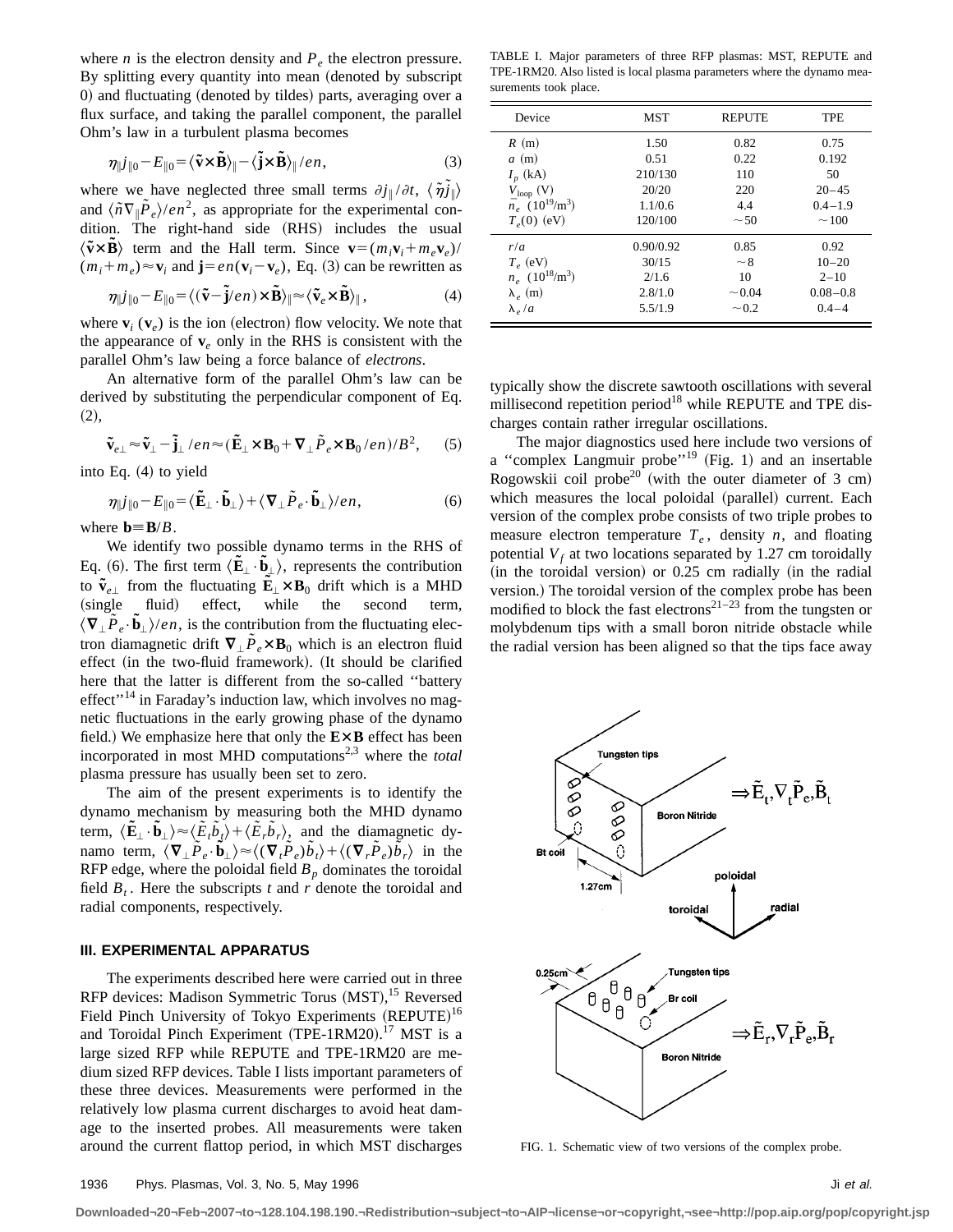where *n* is the electron density and  $P_e$  the electron pressure. By splitting every quantity into mean (denoted by subscript  $0$ ) and fluctuating (denoted by tildes) parts, averaging over a flux surface, and taking the parallel component, the parallel Ohm's law in a turbulent plasma becomes

$$
\eta \|j\|_{0} - E_{\|0} = \langle \tilde{\mathbf{v}} \times \tilde{\mathbf{B}} \rangle_{\|} - \langle \tilde{\mathbf{j}} \times \tilde{\mathbf{B}} \rangle_{\|}/en, \tag{3}
$$

where we have neglected three small terms  $\partial j_{\parallel}/\partial t$ ,  $\langle \tilde{\eta} \tilde{j}_{\parallel} \rangle$ and  $\langle \tilde{n} \nabla_{\parallel} \tilde{P}_{e} \rangle / en^2$ , as appropriate for the experimental condition. The right-hand side (RHS) includes the usual  $\langle \tilde{\mathbf{v}} \times \tilde{\mathbf{B}} \rangle$  term and the Hall term. Since  $\mathbf{v} = (m_i \mathbf{v}_i + m_e \mathbf{v}_e)$  $(m_i+m_e) \approx \mathbf{v}_i$  and  $\mathbf{j}=en(\mathbf{v}_i-\mathbf{v}_e)$ , Eq. (3) can be rewritten as

$$
\eta \|j\|_{0} - E_{\|0} = \langle (\tilde{\mathbf{v}} - \tilde{\mathbf{j}}/en) \times \tilde{\mathbf{B}} \rangle_{\|} \approx \langle \tilde{\mathbf{v}}_{e} \times \tilde{\mathbf{B}} \rangle_{\|},\tag{4}
$$

where  $\mathbf{v}_i$  ( $\mathbf{v}_e$ ) is the ion (electron) flow velocity. We note that the appearance of  $v_e$  only in the RHS is consistent with the parallel Ohm's law being a force balance of *electrons*.

An alternative form of the parallel Ohm's law can be derived by substituting the perpendicular component of Eq.  $(2),$ 

$$
\tilde{\mathbf{v}}_{e\perp} \approx \tilde{\mathbf{v}}_{\perp} - \tilde{\mathbf{j}}_{\perp} / en \approx (\tilde{\mathbf{E}}_{\perp} \times \mathbf{B}_0 + \nabla_{\perp} \tilde{P}_e \times \mathbf{B}_0 / en) / B^2, \quad (5)
$$

into Eq.  $(4)$  to yield

$$
\eta_{\parallel} j_{\parallel 0} - E_{\parallel 0} = \langle \tilde{\mathbf{E}}_{\perp} \cdot \tilde{\mathbf{b}}_{\perp} \rangle + \langle \nabla_{\perp} \tilde{P}_e \cdot \tilde{\mathbf{b}}_{\perp} \rangle / en, \tag{6}
$$

where  $\mathbf{b} = \mathbf{B}/B$ .

We identify two possible dynamo terms in the RHS of Eq. (6). The first term  $\langle \tilde{\mathbf{E}}_{\perp} \cdot \tilde{\mathbf{b}}_{\perp} \rangle$ , represents the contribution to  $\tilde{\mathbf{v}}_{e\perp}$  from the fluctuating  $\tilde{\mathbf{E}}_{\perp} \times \mathbf{B}_0$  drift which is a MHD (single fluid) effect, while the second term,  $\langle \nabla_\perp \tilde{P}_e \cdot \tilde{b}_\perp \rangle$ /*en*, is the contribution from the fluctuating electron diamagnetic drift  $\nabla$   $\hat{P}_e \times B_0$  which is an electron fluid effect (in the two-fluid framework). (It should be clarified here that the latter is different from the so-called ''battery  $effect''<sup>14</sup>$  in Faraday's induction law, which involves no magnetic fluctuations in the early growing phase of the dynamo field.) We emphasize here that only the  $E \times B$  effect has been incorporated in most MHD computations<sup>2,3</sup> where the *total* plasma pressure has usually been set to zero.

The aim of the present experiments is to identify the dynamo mechanism by measuring both the MHD dynamo term,  $\langle \tilde{\mathbf{E}}_{\perp} \cdot \tilde{\mathbf{b}}_{\perp} \rangle \approx \langle \tilde{E}_{t} \tilde{b}_{t} \rangle + \langle \tilde{E}_{r} \tilde{b}_{r} \rangle$ , and the diamagnetic dynamo term,  $\langle \nabla_{\perp} \tilde{P}_e \cdot \tilde{\mathbf{b}}_{\perp} \rangle \approx \langle (\nabla_t \tilde{P}_e) \tilde{b}_t \rangle + \langle (\nabla_r \tilde{P}_e) \tilde{\bar{b}}_r \rangle$  in the RFP edge, where the poloidal field  $B_p$  dominates the toroidal field  $B_t$ . Here the subscripts *t* and *r* denote the toroidal and radial components, respectively.

#### **III. EXPERIMENTAL APPARATUS**

The experiments described here were carried out in three RFP devices: Madison Symmetric Torus (MST),<sup>15</sup> Reversed Field Pinch University of Tokyo Experiments (REPUTE)<sup>16</sup> and Toroidal Pinch Experiment (TPE-1RM20).<sup>17</sup> MST is a large sized RFP while REPUTE and TPE-1RM20 are medium sized RFP devices. Table I lists important parameters of these three devices. Measurements were performed in the relatively low plasma current discharges to avoid heat damage to the inserted probes. All measurements were taken around the current flattop period, in which MST discharges

TABLE I. Major parameters of three RFP plasmas: MST, REPUTE and TPE-1RM20. Also listed is local plasma parameters where the dynamo measurements took place.

| Device                                          | <b>MST</b> | <b>REPUTE</b> | <b>TPE</b>   |
|-------------------------------------------------|------------|---------------|--------------|
| R(m)                                            | 1.50       | 0.82          | 0.75         |
| a(m)                                            | 0.51       | 0.22          | 0.192        |
| $I_n$ (kA)                                      | 210/130    | 110           | 50           |
| $V_{\text{loop}}$ (V)                           | 20/20      | 220           | $20 - 45$    |
| $\bar{n}_e$ (10 <sup>19</sup> /m <sup>3</sup> ) | 1.1/0.6    | 4.4           | $0.4 - 1.9$  |
| $T_e(0)$ (eV)                                   | 120/100    | ~50           | $\sim$ 100   |
| r/a                                             | 0.90/0.92  | 0.85          | 0.92         |
| $T_e$ (eV)                                      | 30/15      | ~28           | $10 - 20$    |
| $n_e$ (10 <sup>18</sup> /m <sup>3</sup> )       | 2/1.6      | 10            | $2 - 10$     |
| $\lambda_e$ (m)                                 | 2.8/1.0    | $\sim 0.04$   | $0.08 - 0.8$ |
| $\lambda_e/a$                                   | 5.5/1.9    | $~1$ 0.2      | $0.4 - 4$    |

typically show the discrete sawtooth oscillations with several millisecond repetition period<sup>18</sup> while REPUTE and TPE discharges contain rather irregular oscillations.

The major diagnostics used here include two versions of a "complex Langmuir probe"<sup>19</sup> (Fig. 1) and an insertable Rogowskii coil probe<sup>20</sup> (with the outer diameter of 3 cm) which measures the local poloidal (parallel) current. Each version of the complex probe consists of two triple probes to measure electron temperature  $T_e$ , density  $n$ , and floating potential  $V_f$  at two locations separated by 1.27 cm toroidally  $(in the toroidal version)$  or  $0.25$  cm radially  $(in the radial)$ version.) The toroidal version of the complex probe has been modified to block the fast electrons<sup>21–23</sup> from the tungsten or molybdenum tips with a small boron nitride obstacle while the radial version has been aligned so that the tips face away



FIG. 1. Schematic view of two versions of the complex probe.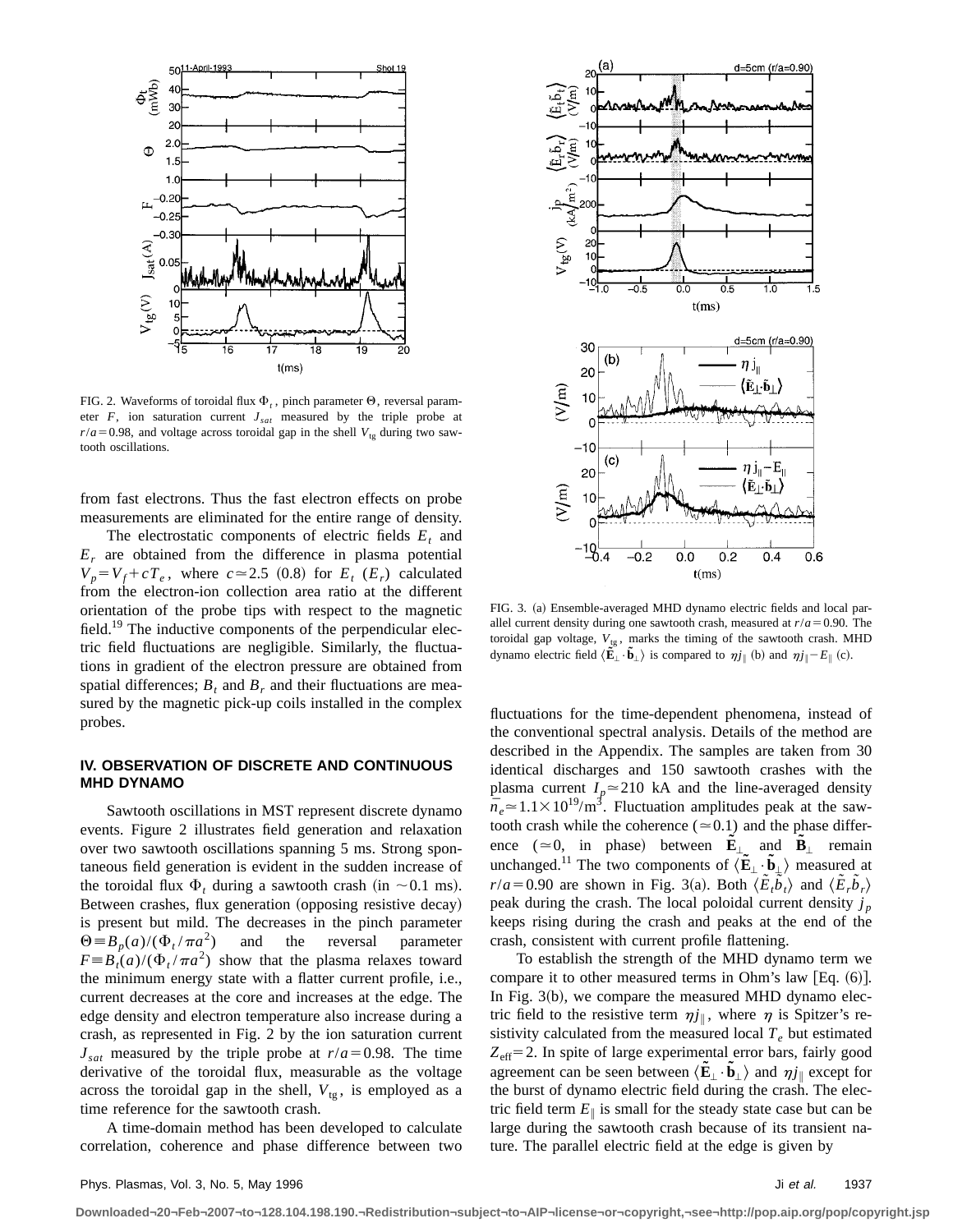

FIG. 2. Waveforms of toroidal flux  $\Phi_t$ , pinch parameter  $\Theta$ , reversal parameter  $F$ , ion saturation current  $J_{sat}$  measured by the triple probe at  $r/a = 0.98$ , and voltage across toroidal gap in the shell  $V_{te}$  during two sawtooth oscillations.

from fast electrons. Thus the fast electron effects on probe measurements are eliminated for the entire range of density.

The electrostatic components of electric fields  $E_t$  and  $E_r$  are obtained from the difference in plasma potential  $V_p = V_f + cT_e$ , where  $c \approx 2.5$  (0.8) for  $E_t$  ( $E_r$ ) calculated from the electron-ion collection area ratio at the different orientation of the probe tips with respect to the magnetic field.<sup>19</sup> The inductive components of the perpendicular electric field fluctuations are negligible. Similarly, the fluctuations in gradient of the electron pressure are obtained from spatial differences;  $B_t$  and  $B_r$  and their fluctuations are measured by the magnetic pick-up coils installed in the complex probes.

## **IV. OBSERVATION OF DISCRETE AND CONTINUOUS MHD DYNAMO**

Sawtooth oscillations in MST represent discrete dynamo events. Figure 2 illustrates field generation and relaxation over two sawtooth oscillations spanning 5 ms. Strong spontaneous field generation is evident in the sudden increase of the toroidal flux  $\Phi_t$  during a sawtooth crash (in  $\sim 0.1$  ms). Between crashes, flux generation (opposing resistive decay) is present but mild. The decreases in the pinch parameter  $\Theta = B_p(a)/(\Phi_t / \pi a^2)$  and the reversal parameter  $F \equiv B_t(a)/(\Phi_t / \pi a^2)$  show that the plasma relaxes toward the minimum energy state with a flatter current profile, i.e., current decreases at the core and increases at the edge. The edge density and electron temperature also increase during a crash, as represented in Fig. 2 by the ion saturation current  $J_{\text{sat}}$  measured by the triple probe at  $r/a = 0.98$ . The time derivative of the toroidal flux, measurable as the voltage across the toroidal gap in the shell,  $V_{tg}$ , is employed as a time reference for the sawtooth crash.

A time-domain method has been developed to calculate correlation, coherence and phase difference between two



FIG. 3. (a) Ensemble-averaged MHD dynamo electric fields and local parallel current density during one sawtooth crash, measured at  $r/a = 0.90$ . The toroidal gap voltage,  $V_{tg}$ , marks the timing of the sawtooth crash. MHD dynamo electric field  $\langle \tilde{\mathbf{E}}_{\perp} \cdot \tilde{\mathbf{b}}_{\perp} \rangle$  is compared to  $\eta j_{\parallel}$  (b) and  $\eta j_{\parallel} - E_{\parallel}$  (c).

fluctuations for the time-dependent phenomena, instead of the conventional spectral analysis. Details of the method are described in the Appendix. The samples are taken from 30 identical discharges and 150 sawtooth crashes with the plasma current  $I_p \approx 210$  kA and the line-averaged density  $\bar{n}_e \approx 1.1 \times 10^{19}$ /m<sup>3</sup>. Fluctuation amplitudes peak at the sawtooth crash while the coherence ( $\simeq$  0.1) and the phase difference ( $\approx$ 0, in phase) between  $\tilde{\mathbf{E}}_{\perp}$  and  $\tilde{\mathbf{B}}_{\perp}$  remain unchanged.<sup>11</sup> The two components of  $\langle \mathbf{\tilde{E}}_{\perp} \cdot \mathbf{\tilde{b}}_{\perp} \rangle$  measured at  $r/a = 0.90$  are shown in Fig. 3(a). Both  $\langle \tilde{E}_t \tilde{b}_t \rangle$  and  $\langle \tilde{E}_t \tilde{b}_t \rangle$ peak during the crash. The local poloidal current density  $j_p$ keeps rising during the crash and peaks at the end of the crash, consistent with current profile flattening.

To establish the strength of the MHD dynamo term we compare it to other measured terms in Ohm's law  $[Eq. (6)].$ In Fig.  $3(b)$ , we compare the measured MHD dynamo electric field to the resistive term  $\eta j_{\parallel}$ , where  $\eta$  is Spitzer's resistivity calculated from the measured local  $T_e$  but estimated  $Z_{\text{eff}}$ =2. In spite of large experimental error bars, fairly good agreement can be seen between  $\langle \mathbf{E}_{\perp} \cdot \mathbf{b}_{\perp} \rangle$  and  $\eta j_{\parallel}$  except for the burst of dynamo electric field during the crash. The electric field term  $E_{\parallel}$  is small for the steady state case but can be large during the sawtooth crash because of its transient nature. The parallel electric field at the edge is given by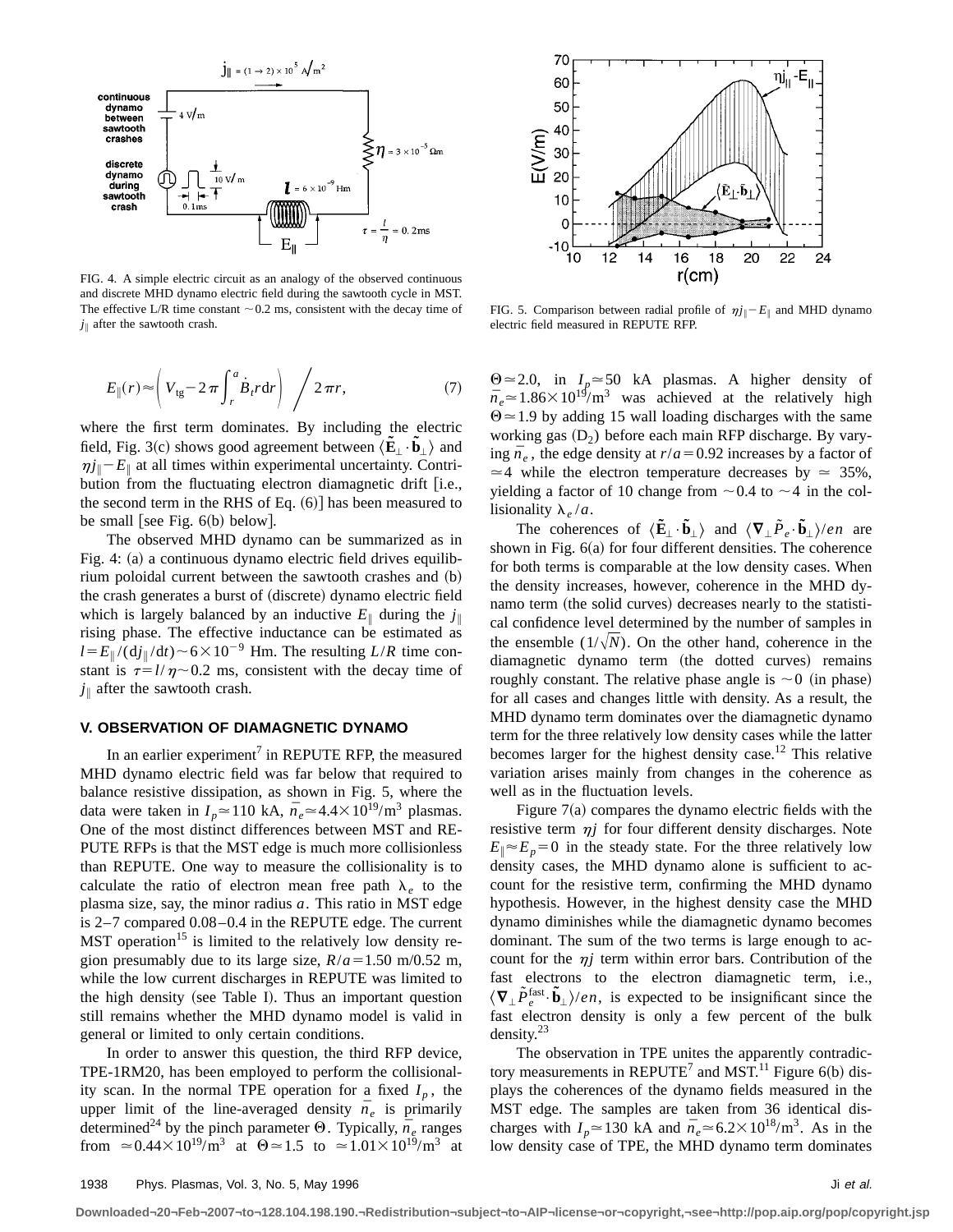

FIG. 4. A simple electric circuit as an analogy of the observed continuous and discrete MHD dynamo electric field during the sawtooth cycle in MST. The effective L/R time constant  $\sim 0.2$  ms, consistent with the decay time of  $j_{\parallel}$  after the sawtooth crash.

$$
E_{\parallel}(r) \approx \left(V_{tg} - 2\pi \int_{r}^{a} \dot{B}_{t} r dr\right) / 2\pi r,
$$
\n(7)

where the first term dominates. By including the electric field, Fig. 3(c) shows good agreement between  $\langle \tilde{\mathbf{E}}_{\perp} \cdot \tilde{\mathbf{b}}_{\perp} \rangle$  and  $\eta j_{\parallel}$  –  $E_{\parallel}$  at all times within experimental uncertainty. Contribution from the fluctuating electron diamagnetic drift  $[$ i.e., the second term in the RHS of Eq.  $(6)$ ] has been measured to be small [see Fig.  $6(b)$  below].

The observed MHD dynamo can be summarized as in Fig. 4: (a) a continuous dynamo electric field drives equilibrium poloidal current between the sawtooth crashes and  $(b)$ the crash generates a burst of (discrete) dynamo electric field which is largely balanced by an inductive  $E_{\parallel}$  during the  $j_{\parallel}$ rising phase. The effective inductance can be estimated as  $l = E_{\parallel}/(\mathrm{d}i_{\parallel}/\mathrm{d}t) \sim 6 \times 10^{-9}$  Hm. The resulting *L/R* time constant is  $\tau=l/\eta \sim 0.2$  ms, consistent with the decay time of  $j_{\parallel}$  after the sawtooth crash.

# **V. OBSERVATION OF DIAMAGNETIC DYNAMO**

In an earlier experiment<sup>7</sup> in REPUTE RFP, the measured MHD dynamo electric field was far below that required to balance resistive dissipation, as shown in Fig. 5, where the data were taken in  $I_p \approx 110 \text{ kA}, \bar{n}_e \approx 4.4 \times 10^{19} \text{/m}^3 \text{ plasmas.}$ One of the most distinct differences between MST and RE-PUTE RFPs is that the MST edge is much more collisionless than REPUTE. One way to measure the collisionality is to calculate the ratio of electron mean free path  $\lambda_e$  to the plasma size, say, the minor radius *a*. This ratio in MST edge is 2–7 compared 0.08 –0.4 in the REPUTE edge. The current MST operation<sup>15</sup> is limited to the relatively low density region presumably due to its large size,  $R/a = 1.50$  m/0.52 m, while the low current discharges in REPUTE was limited to the high density (see Table I). Thus an important question still remains whether the MHD dynamo model is valid in general or limited to only certain conditions.

In order to answer this question, the third RFP device, TPE-1RM20, has been employed to perform the collisionality scan. In the normal TPE operation for a fixed  $I_p$ , the upper limit of the line-averaged density  $\bar{n}_e$  is primarily determined<sup>24</sup> by the pinch parameter  $\Theta$ . Typically,  $\bar{n}_e$  ranges from  $\approx 0.44 \times 10^{19}$ /m<sup>3</sup> at  $\Theta \approx 1.5$  to  $\approx 1.01 \times 10^{19}$ /m<sup>3</sup> at



FIG. 5. Comparison between radial profile of  $\eta j_{\parallel} - E_{\parallel}$  and MHD dynamo electric field measured in REPUTE RFP.

 $\Theta \approx 2.0$ , in  $I_p \approx 50$  kA plasmas. A higher density of  $\bar{n}_e \approx 1.86 \times 10^{19} / \text{m}^3$  was achieved at the relatively high  $\Theta$   $\simeq$  1.9 by adding 15 wall loading discharges with the same working gas  $(D_2)$  before each main RFP discharge. By varying  $\bar{n}_e$ , the edge density at  $r/a = 0.92$  increases by a factor of  $\approx$  4 while the electron temperature decreases by  $\approx$  35%, yielding a factor of 10 change from  $\sim$  0.4 to  $\sim$  4 in the collisionality  $\lambda_e/a$ .

The coherences of  $\langle \mathbf{\tilde{E}}_{\perp} \cdot \mathbf{\tilde{b}}_{\perp} \rangle$  and  $\langle \nabla_{\perp} \tilde{P}_e \cdot \mathbf{\tilde{b}}_{\perp} \rangle / en$  are shown in Fig.  $6(a)$  for four different densities. The coherence for both terms is comparable at the low density cases. When the density increases, however, coherence in the MHD dynamo term (the solid curves) decreases nearly to the statistical confidence level determined by the number of samples in the ensemble  $(1/\sqrt{N})$ . On the other hand, coherence in the diamagnetic dynamo term (the dotted curves) remains roughly constant. The relative phase angle is  $\sim 0$  (in phase) for all cases and changes little with density. As a result, the MHD dynamo term dominates over the diamagnetic dynamo term for the three relatively low density cases while the latter becomes larger for the highest density case.<sup>12</sup> This relative variation arises mainly from changes in the coherence as well as in the fluctuation levels.

Figure  $7(a)$  compares the dynamo electric fields with the resistive term  $\eta j$  for four different density discharges. Note  $E_{\parallel} \approx E_p = 0$  in the steady state. For the three relatively low density cases, the MHD dynamo alone is sufficient to account for the resistive term, confirming the MHD dynamo hypothesis. However, in the highest density case the MHD dynamo diminishes while the diamagnetic dynamo becomes dominant. The sum of the two terms is large enough to account for the  $\eta j$  term within error bars. Contribution of the fast electrons to the electron diamagnetic term, i.e.,  $\langle \nabla_{\perp} \tilde{P}_e^{\text{fast}} \cdot \tilde{\mathbf{b}}_{\perp} \rangle / en$ , is expected to be insignificant since the fast electron density is only a few percent of the bulk density.<sup>23</sup>

The observation in TPE unites the apparently contradictory measurements in REPUTE<sup>7</sup> and MST.<sup>11</sup> Figure 6(b) displays the coherences of the dynamo fields measured in the MST edge. The samples are taken from 36 identical discharges with  $I_n \approx 130$  kA and  $\bar{n}_e \approx 6.2 \times 10^{18} \text{/m}^3$ . As in the low density case of TPE, the MHD dynamo term dominates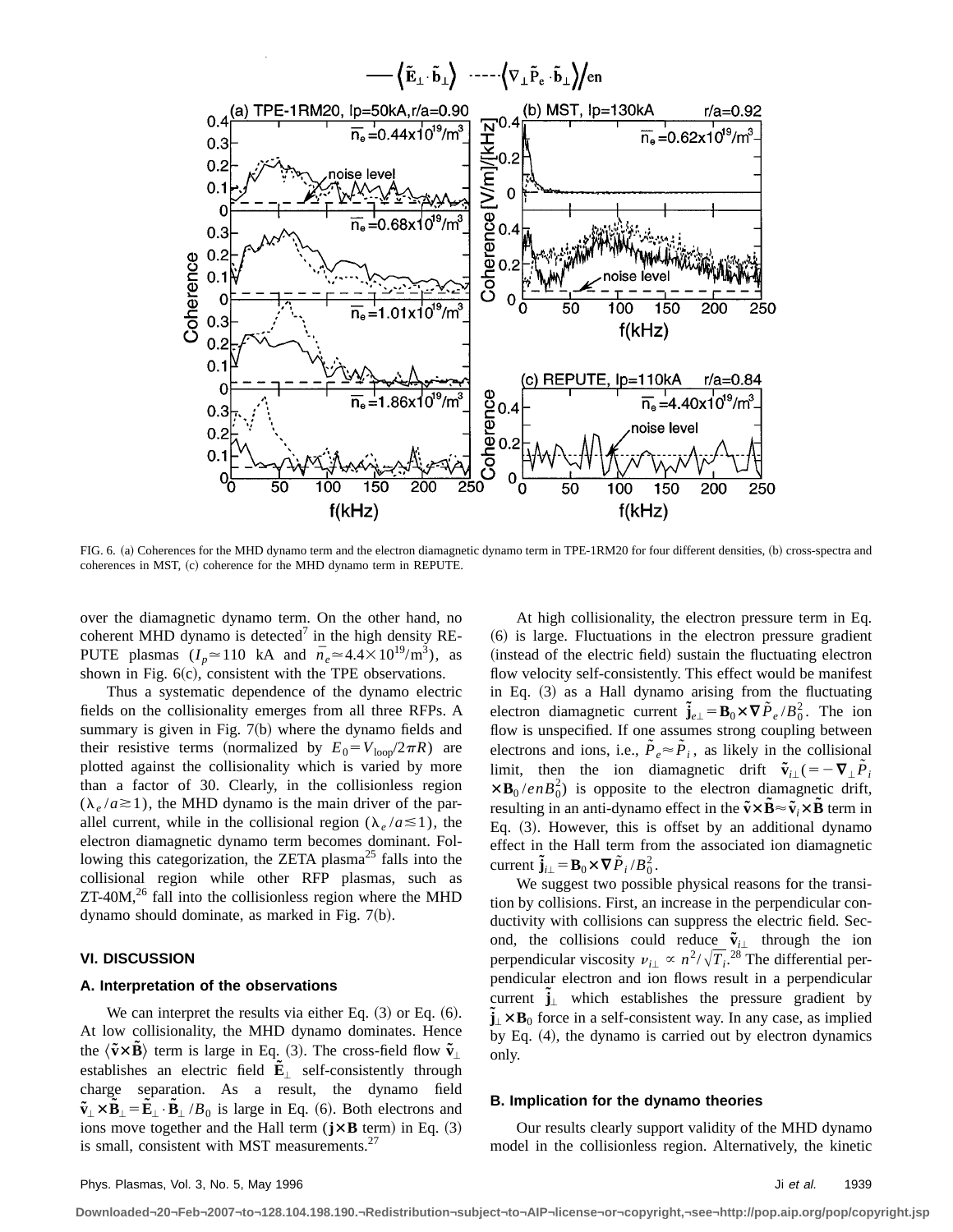

FIG. 6. (a) Coherences for the MHD dynamo term and the electron diamagnetic dynamo term in TPE-1RM20 for four different densities, (b) cross-spectra and coherences in MST, (c) coherence for the MHD dynamo term in REPUTE.

over the diamagnetic dynamo term. On the other hand, no coherent MHD dynamo is detected<sup>7</sup> in the high density RE-PUTE plasmas  $(I_p \approx 110 \text{ kA}$  and  $\bar{n}_e \approx 4.4 \times 10^{19} \text{/m}^3$ , as shown in Fig.  $6(c)$ , consistent with the TPE observations.

Thus a systematic dependence of the dynamo electric fields on the collisionality emerges from all three RFPs. A summary is given in Fig.  $7(b)$  where the dynamo fields and their resistive terms (normalized by  $E_0 = V_{\text{loop}}/2\pi R$ ) are plotted against the collisionality which is varied by more than a factor of 30. Clearly, in the collisionless region  $(\lambda_e/a \ge 1)$ , the MHD dynamo is the main driver of the parallel current, while in the collisional region ( $\lambda_e / a \le 1$ ), the electron diamagnetic dynamo term becomes dominant. Following this categorization, the ZETA plasma<sup>25</sup> falls into the collisional region while other RFP plasmas, such as  $ZT-40M$ ,<sup>26</sup> fall into the collisionless region where the MHD dynamo should dominate, as marked in Fig.  $7(b)$ .

#### **VI. DISCUSSION**

## **A. Interpretation of the observations**

We can interpret the results via either Eq.  $(3)$  or Eq.  $(6)$ . At low collisionality, the MHD dynamo dominates. Hence the  $\langle \tilde{\mathbf{v}} \times \mathbf{B} \rangle$  term is large in Eq. (3). The cross-field flow  $\tilde{\mathbf{v}}_{\perp}$ establishes an electric field  $\tilde{\mathbf{E}}_1$  self-consistently through charge separation. As a result, the dynamo field  $\tilde{\mathbf{v}}_{\perp} \times \tilde{\mathbf{B}}_{\perp} = \tilde{\mathbf{E}}_{\perp} \cdot \tilde{\mathbf{B}}_{\perp} / B_0$  is large in Eq. (6). Both electrons and ions move together and the Hall term  $(\mathbf{j} \times \mathbf{B})$  term) in Eq. (3) is small, consistent with MST measurements.<sup>27</sup>

At high collisionality, the electron pressure term in Eq.  $(6)$  is large. Fluctuations in the electron pressure gradient (instead of the electric field) sustain the fluctuating electron flow velocity self-consistently. This effect would be manifest in Eq.  $(3)$  as a Hall dynamo arising from the fluctuating electron diamagnetic current  $\tilde{\mathbf{j}}_{e\perp} = \mathbf{B}_0 \times \nabla \tilde{P}_e / B_0^2$ . The ion flow is unspecified. If one assumes strong coupling between electrons and ions, i.e.,  $\tilde{P}_e \approx \tilde{P}_i$ , as likely in the collisional limit, then the ion diamagnetic drift  $\tilde{\mathbf{v}}_{i\perp}$  (=  $-\nabla_{\perp} \tilde{P}_i$  $\times$ **B**<sub>0</sub>/*enB*<sub>0</sub><sup>2</sup>) is opposite to the electron diamagnetic drift, resulting in an anti-dynamo effect in the  $\tilde{\mathbf{v}} \times \tilde{\mathbf{B}} \approx \tilde{\mathbf{v}}$   $\times \tilde{\mathbf{B}}$  term in Eq.  $(3)$ . However, this is offset by an additional dynamo effect in the Hall term from the associated ion diamagnetic current  $\tilde{\mathbf{j}}_{i\perp} = \mathbf{B}_0 \times \nabla \tilde{P}_i / B_0^2$ .

We suggest two possible physical reasons for the transition by collisions. First, an increase in the perpendicular conductivity with collisions can suppress the electric field. Second, the collisions could reduce  $\tilde{v}_{i\perp}$  through the ion perpendicular viscosity  $\nu_{i\perp} \propto n^2 / \sqrt{T_i}$ .<sup>28</sup> The differential perpendicular electron and ion flows result in a perpendicular current  $\tilde{\mathbf{j}}_{\perp}$  which establishes the pressure gradient by  $\tilde{\mathbf{j}}_{\perp} \times \mathbf{B}_0$  force in a self-consistent way. In any case, as implied by Eq.  $(4)$ , the dynamo is carried out by electron dynamics only.

#### **B. Implication for the dynamo theories**

Our results clearly support validity of the MHD dynamo model in the collisionless region. Alternatively, the kinetic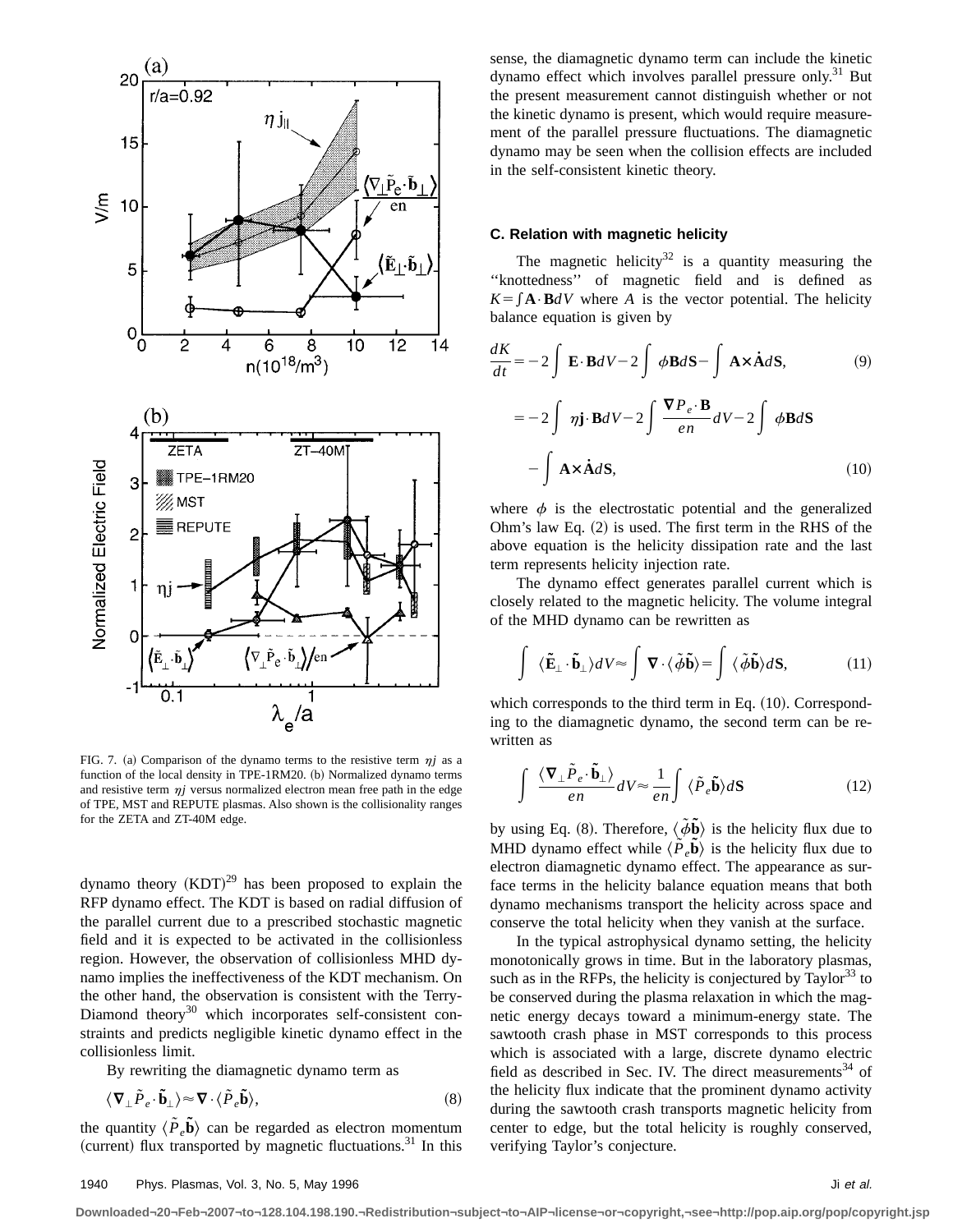

FIG. 7. (a) Comparison of the dynamo terms to the resistive term  $\eta j$  as a function of the local density in TPE-1RM20. (b) Normalized dynamo terms and resistive term  $\eta j$  versus normalized electron mean free path in the edge of TPE, MST and REPUTE plasmas. Also shown is the collisionality ranges for the ZETA and ZT-40M edge.

dynamo theory  $(KDT)^{29}$  has been proposed to explain the RFP dynamo effect. The KDT is based on radial diffusion of the parallel current due to a prescribed stochastic magnetic field and it is expected to be activated in the collisionless region. However, the observation of collisionless MHD dynamo implies the ineffectiveness of the KDT mechanism. On the other hand, the observation is consistent with the Terry-Diamond theory<sup>30</sup> which incorporates self-consistent constraints and predicts negligible kinetic dynamo effect in the collisionless limit.

By rewriting the diamagnetic dynamo term as

$$
\langle \nabla_{\perp} \tilde{P}_e \cdot \tilde{\mathbf{b}}_{\perp} \rangle \approx \nabla \cdot \langle \tilde{P}_e \tilde{\mathbf{b}} \rangle, \tag{8}
$$

the quantity  $\langle \tilde{P}_e \tilde{b} \rangle$  can be regarded as electron momentum (current) flux transported by magnetic fluctuations. $31$  In this sense, the diamagnetic dynamo term can include the kinetic dynamo effect which involves parallel pressure only.<sup>31</sup> But the present measurement cannot distinguish whether or not the kinetic dynamo is present, which would require measurement of the parallel pressure fluctuations. The diamagnetic dynamo may be seen when the collision effects are included in the self-consistent kinetic theory.

# **C. Relation with magnetic helicity**

The magnetic helicity<sup>32</sup> is a quantity measuring the ''knottedness'' of magnetic field and is defined as  $K = \int \mathbf{A} \cdot \mathbf{B} dV$  where *A* is the vector potential. The helicity balance equation is given by

$$
\frac{dK}{dt} = -2 \int \mathbf{E} \cdot \mathbf{B} dV - 2 \int \phi \mathbf{B} d\mathbf{S} - \int \mathbf{A} \times \dot{\mathbf{A}} d\mathbf{S},
$$
(9)  

$$
= -2 \int \eta \mathbf{j} \cdot \mathbf{B} dV - 2 \int \frac{\nabla P_e \cdot \mathbf{B}}{en} dV - 2 \int \phi \mathbf{B} d\mathbf{S}
$$

$$
- \int \mathbf{A} \times \dot{\mathbf{A}} d\mathbf{S},
$$
(10)

where  $\phi$  is the electrostatic potential and the generalized Ohm's law Eq.  $(2)$  is used. The first term in the RHS of the above equation is the helicity dissipation rate and the last term represents helicity injection rate.

The dynamo effect generates parallel current which is closely related to the magnetic helicity. The volume integral of the MHD dynamo can be rewritten as

$$
\int \langle \tilde{\mathbf{E}}_{\perp} \cdot \tilde{\mathbf{b}}_{\perp} \rangle dV \approx \int \mathbf{\nabla} \cdot \langle \tilde{\phi} \tilde{\mathbf{b}} \rangle = \int \langle \tilde{\phi} \tilde{\mathbf{b}} \rangle d\mathbf{S}, \tag{11}
$$

which corresponds to the third term in Eq.  $(10)$ . Corresponding to the diamagnetic dynamo, the second term can be rewritten as

$$
\int \frac{\langle \mathbf{\nabla}_{\perp} \tilde{P}_e \cdot \tilde{\mathbf{b}}_{\perp} \rangle}{en} dV \approx \frac{1}{en} \int \langle \tilde{P}_e \tilde{\mathbf{b}} \rangle d\mathbf{S}
$$
 (12)

by using Eq. (8). Therefore,  $\langle \tilde{\phi} \tilde{\mathbf{b}} \rangle$  is the helicity flux due to MHD dynamo effect while  $\langle \tilde{P}_e \tilde{b} \rangle$  is the helicity flux due to electron diamagnetic dynamo effect. The appearance as surface terms in the helicity balance equation means that both dynamo mechanisms transport the helicity across space and conserve the total helicity when they vanish at the surface.

In the typical astrophysical dynamo setting, the helicity monotonically grows in time. But in the laboratory plasmas, such as in the RFPs, the helicity is conjectured by  $Taylor^{33}$  to be conserved during the plasma relaxation in which the magnetic energy decays toward a minimum-energy state. The sawtooth crash phase in MST corresponds to this process which is associated with a large, discrete dynamo electric field as described in Sec. IV. The direct measurements<sup>34</sup> of the helicity flux indicate that the prominent dynamo activity during the sawtooth crash transports magnetic helicity from center to edge, but the total helicity is roughly conserved, verifying Taylor's conjecture.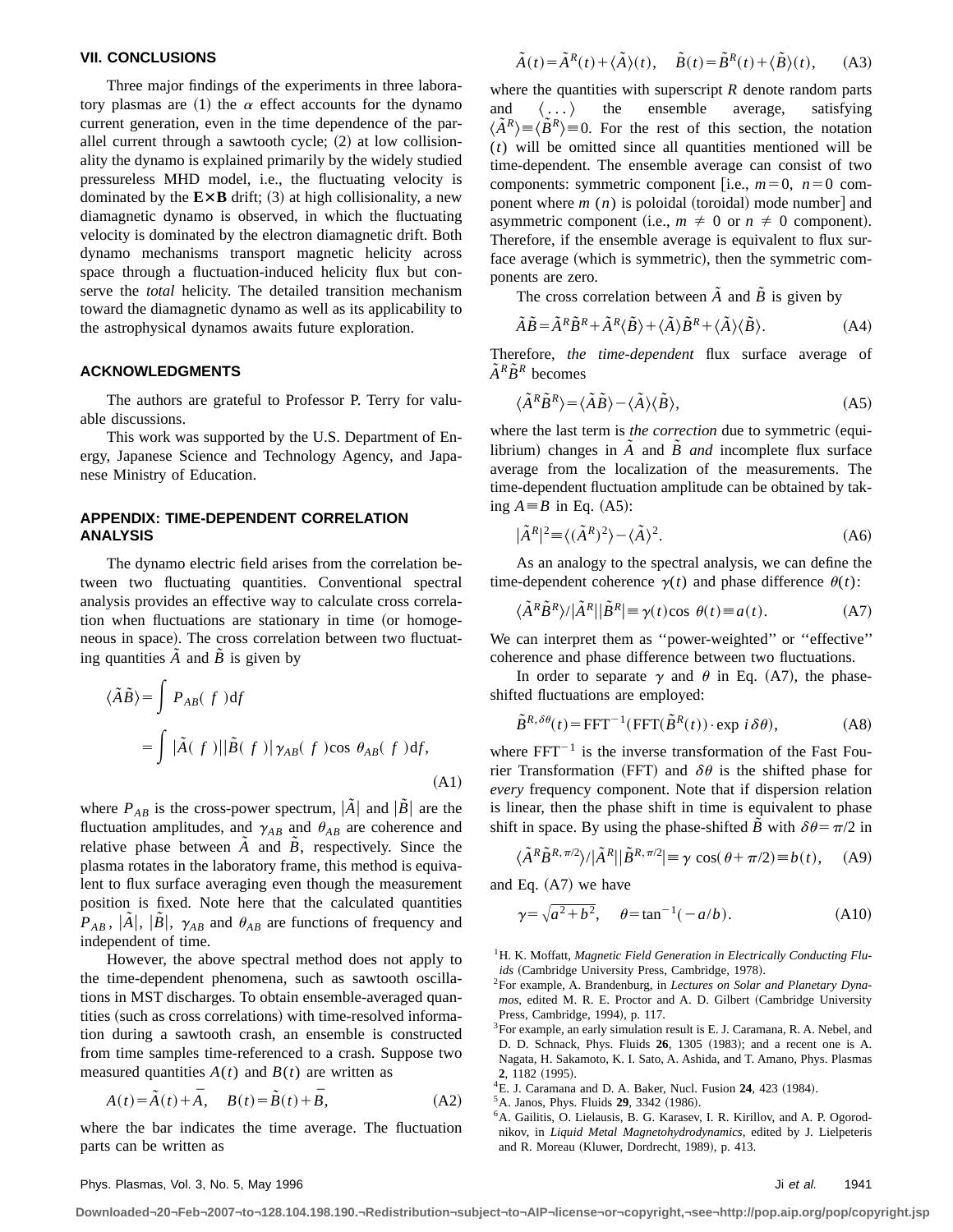#### **VII. CONCLUSIONS**

Three major findings of the experiments in three laboratory plasmas are (1) the  $\alpha$  effect accounts for the dynamo current generation, even in the time dependence of the parallel current through a sawtooth cycle;  $(2)$  at low collisionality the dynamo is explained primarily by the widely studied pressureless MHD model, i.e., the fluctuating velocity is dominated by the  $E \times B$  drift; (3) at high collisionality, a new diamagnetic dynamo is observed, in which the fluctuating velocity is dominated by the electron diamagnetic drift. Both dynamo mechanisms transport magnetic helicity across space through a fluctuation-induced helicity flux but conserve the *total* helicity. The detailed transition mechanism toward the diamagnetic dynamo as well as its applicability to the astrophysical dynamos awaits future exploration.

#### **ACKNOWLEDGMENTS**

The authors are grateful to Professor P. Terry for valuable discussions.

This work was supported by the U.S. Department of Energy, Japanese Science and Technology Agency, and Japanese Ministry of Education.

# **APPENDIX: TIME-DEPENDENT CORRELATION ANALYSIS**

The dynamo electric field arises from the correlation between two fluctuating quantities. Conventional spectral analysis provides an effective way to calculate cross correlation when fluctuations are stationary in time (or homogeneous in space). The cross correlation between two fluctuating quantities  $\overline{A}$  and  $\overline{B}$  is given by

$$
\langle \tilde{A}\tilde{B} \rangle = \int P_{AB}(f) df
$$
  
= 
$$
\int |\tilde{A}(f)| |\tilde{B}(f)| \gamma_{AB}(f) \cos \theta_{AB}(f) df,
$$
  
(A1)

where  $P_{AB}$  is the cross-power spectrum,  $|A|$  and  $|B|$  are the fluctuation amplitudes, and  $\gamma_{AB}$  and  $\theta_{AB}$  are coherence and relative phase between  $\tilde{A}$  and  $\tilde{B}$ , respectively. Since the plasma rotates in the laboratory frame, this method is equivalent to flux surface averaging even though the measurement position is fixed. Note here that the calculated quantities  $P_{AB}$ ,  $|\tilde{A}|$ ,  $|\tilde{B}|$ ,  $\gamma_{AB}$  and  $\theta_{AB}$  are functions of frequency and independent of time.

However, the above spectral method does not apply to the time-dependent phenomena, such as sawtooth oscillations in MST discharges. To obtain ensemble-averaged quantities (such as cross correlations) with time-resolved information during a sawtooth crash, an ensemble is constructed from time samples time-referenced to a crash. Suppose two measured quantities  $A(t)$  and  $B(t)$  are written as

$$
A(t) = \tilde{A}(t) + \bar{A}, \quad B(t) = \tilde{B}(t) + \bar{B}, \tag{A2}
$$

where the bar indicates the time average. The fluctuation parts can be written as

$$
\tilde{A}(t) = \tilde{A}^{R}(t) + \langle \tilde{A} \rangle(t), \quad \tilde{B}(t) = \tilde{B}^{R}(t) + \langle \tilde{B} \rangle(t), \quad \text{(A3)}
$$

where the quantities with superscript *R* denote random parts and  $\langle \ldots \rangle$  the ensemble average, satisfying  $\langle \tilde{A}^R \rangle \equiv \langle \tilde{B}^R \rangle \equiv 0$ . For the rest of this section, the notation (*t*) will be omitted since all quantities mentioned will be time-dependent. The ensemble average can consist of two components: symmetric component [i.e.,  $m=0$ ,  $n=0$  component where  $m(n)$  is poloidal (toroidal) mode number] and asymmetric component (i.e.,  $m \neq 0$  or  $n \neq 0$  component). Therefore, if the ensemble average is equivalent to flux surface average (which is symmetric), then the symmetric components are zero.

The cross correlation between  $\tilde{A}$  and  $\tilde{B}$  is given by

$$
\tilde{A}\tilde{B} = \tilde{A}^R \tilde{B}^R + \tilde{A}^R \langle \tilde{B} \rangle + \langle \tilde{A} \rangle \tilde{B}^R + \langle \tilde{A} \rangle \langle \tilde{B} \rangle.
$$
 (A4)

Therefore, *the time-dependent* flux surface average of  $\tilde{A}^R \tilde{B}^R$  becomes

$$
\langle \tilde{A}^R \tilde{B}^R \rangle = \langle \tilde{A} \tilde{B} \rangle - \langle \tilde{A} \rangle \langle \tilde{B} \rangle, \tag{A5}
$$

where the last term is *the correction* due to symmetric (equilibrium) changes in  $\tilde{A}$  and  $\tilde{B}$  *and* incomplete flux surface average from the localization of the measurements. The time-dependent fluctuation amplitude can be obtained by taking  $A \equiv B$  in Eq. (A5):

$$
|\tilde{A}^R|^2 \equiv \langle (\tilde{A}^R)^2 \rangle - \langle \tilde{A} \rangle^2. \tag{A6}
$$

As an analogy to the spectral analysis, we can define the time-dependent coherence  $\gamma(t)$  and phase difference  $\theta(t)$ :

$$
\langle \tilde{A}^R \tilde{B}^R \rangle / |\tilde{A}^R| |\tilde{B}^R| \equiv \gamma(t) \cos \theta(t) \equiv a(t). \tag{A7}
$$

We can interpret them as ''power-weighted'' or ''effective'' coherence and phase difference between two fluctuations.

In order to separate  $\gamma$  and  $\theta$  in Eq. (A7), the phaseshifted fluctuations are employed:

$$
\tilde{B}^{R,\delta\theta}(t) = \text{FFT}^{-1}(\text{FFT}(\tilde{B}^R(t)) \cdot \text{exp } i \,\delta\theta),\tag{A8}
$$

where  $FFT^{-1}$  is the inverse transformation of the Fast Fourier Transformation (FFT) and  $\delta\theta$  is the shifted phase for *every* frequency component. Note that if dispersion relation is linear, then the phase shift in time is equivalent to phase shift in space. By using the phase-shifted *B* with  $\delta\theta = \pi/2$  in

$$
\langle \tilde{A}^R \tilde{B}^{R, \pi/2} \rangle / |\tilde{A}^R| |\tilde{B}^{R, \pi/2}| \equiv \gamma \cos(\theta + \pi/2) \equiv b(t), \quad \text{(A9)}
$$

and Eq.  $(A7)$  we have

$$
\gamma = \sqrt{a^2 + b^2}, \quad \theta = \tan^{-1}(-a/b).
$$
 (A10)

<sup>1</sup>H. K. Moffatt, *Magnetic Field Generation in Electrically Conducting Flu*ids (Cambridge University Press, Cambridge, 1978).

 $^{4}$ E. J. Caramana and D. A. Baker, Nucl. Fusion  $24$ , 423 (1984).

 ${}^5$ A. Janos, Phys. Fluids **29**, 3342 (1986).

<sup>2</sup>For example, A. Brandenburg, in *Lectures on Solar and Planetary Dyna*mos, edited M. R. E. Proctor and A. D. Gilbert (Cambridge University Press, Cambridge, 1994), p. 117.

 $3$ For example, an early simulation result is E. J. Caramana, R. A. Nebel, and D. D. Schnack, Phys. Fluids **26**, 1305 (1983); and a recent one is A. Nagata, H. Sakamoto, K. I. Sato, A. Ashida, and T. Amano, Phys. Plasmas **2**, 1182 (1995).

<sup>&</sup>lt;sup>6</sup>A. Gailitis, O. Lielausis, B. G. Karasev, I. R. Kirillov, and A. P. Ogorodnikov, in *Liquid Metal Magnetohydrodynamics*, edited by J. Lielpeteris and R. Moreau (Kluwer, Dordrecht, 1989), p. 413.